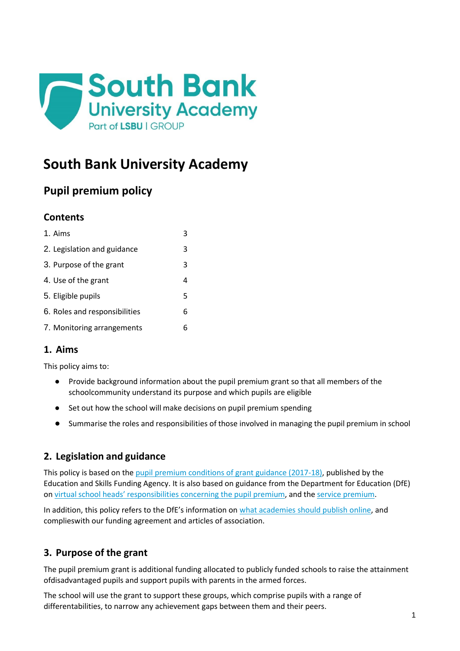

# **South Bank University Academy**

## **Pupil premium policy**

## **Contents**

| 1. Aims                       | 3 |
|-------------------------------|---|
| 2. Legislation and guidance   | 3 |
| 3. Purpose of the grant       | 3 |
| 4. Use of the grant           | 4 |
| 5. Eligible pupils            | 5 |
| 6. Roles and responsibilities | 6 |
| 7. Monitoring arrangements    | 6 |

## <span id="page-0-0"></span>**1. Aims**

This policy aims to:

- Provide background information about the pupil premium grant so that all members of the schoolcommunity understand its purpose and which pupils are eligible
- Set out how the school will make decisions on pupil premium spending
- Summarise the roles and responsibilities of those involved in managing the pupil premium in school

## <span id="page-0-1"></span>**2. Legislation and guidance**

This policy is based on the [pupil premium conditions of grant guidance \(2017-18\),](https://www.gov.uk/government/publications/pupil-premium-conditions-of-grant-2017-to-2018/pupil-premium-conditions-of-grant-2017-to-2018) published by the Education and Skills Funding Agency. It is also based on guidance from the Department for Education (DfE) on virtual school heads' [responsibilities](https://www.gov.uk/guidance/pupil-premium-virtual-school-heads-responsibilities) concerning the pupil premium, and the service [premium.](https://www.gov.uk/guidance/service-premium-information-for-schools)

In addition, this policy refers to the DfE's information on [what academies should publish online,](https://www.gov.uk/guidance/what-academies-free-schools-and-colleges-should-publish-online#pupil-premium) and complieswith our funding agreement and articles of association.

## <span id="page-0-2"></span>**3. Purpose of the grant**

The pupil premium grant is additional funding allocated to publicly funded schools to raise the attainment ofdisadvantaged pupils and support pupils with parents in the armed forces.

The school will use the grant to support these groups, which comprise pupils with a range of differentabilities, to narrow any achievement gaps between them and their peers.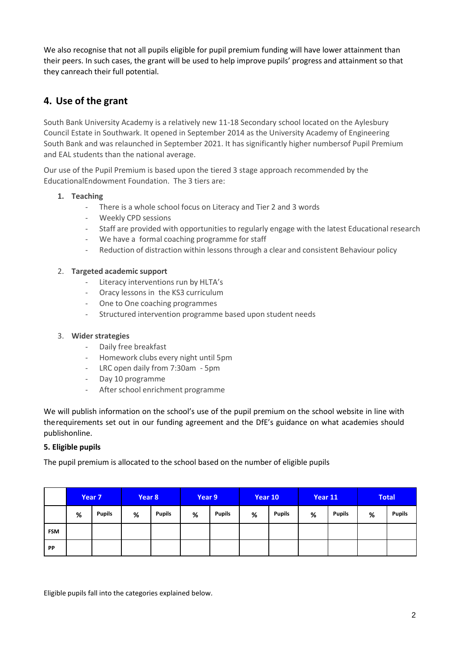We also recognise that not all pupils eligible for pupil premium funding will have lower attainment than their peers. In such cases, the grant will be used to help improve pupils' progress and attainment so that they canreach their full potential.

## <span id="page-1-0"></span>**4. Use of the grant**

South Bank University Academy is a relatively new 11-18 Secondary school located on the Aylesbury Council Estate in Southwark. It opened in September 2014 as the University Academy of Engineering South Bank and was relaunched in September 2021. It has significantly higher numbersof Pupil Premium and EAL students than the national average.

Our use of the Pupil Premium is based upon the tiered 3 stage approach recommended by the EducationalEndowment Foundation. The 3 tiers are:

#### **1. Teaching**

- There is a whole school focus on Literacy and Tier 2 and 3 words
- Weekly CPD sessions
- Staff are provided with opportunities to regularly engage with the latest Educational research
- We have a formal coaching programme for staff
- Reduction of distraction within lessons through a clear and consistent Behaviour policy

#### 2. **Targeted academic support**

- Literacy interventions run by HLTA's
- Oracy lessons in the KS3 curriculum
- One to One coaching programmes
- Structured intervention programme based upon student needs

#### 3. **Wider strategies**

- Daily free breakfast
- Homework clubs every night until 5pm
- LRC open daily from 7:30am 5pm
- Day 10 programme
- After school enrichment programme

We will publish information on the school's use of the pupil premium on the school website in line with therequirements set out in our funding agreement and the DfE's guidance on what academies should publishonline.

#### <span id="page-1-1"></span>**5. Eligible pupils**

The pupil premium is allocated to the school based on the number of eligible pupils

|           | Year 7 |               | Year 8 |               | Year 9 |               | Year 10 |               | Year 11 |               | <b>Total</b> |               |
|-----------|--------|---------------|--------|---------------|--------|---------------|---------|---------------|---------|---------------|--------------|---------------|
|           | %      | <b>Pupils</b> | %      | <b>Pupils</b> | %      | <b>Pupils</b> | %       | <b>Pupils</b> | %       | <b>Pupils</b> | %            | <b>Pupils</b> |
| FSM       |        |               |        |               |        |               |         |               |         |               |              |               |
| <b>PP</b> |        |               |        |               |        |               |         |               |         |               |              |               |

Eligible pupils fall into the categories explained below.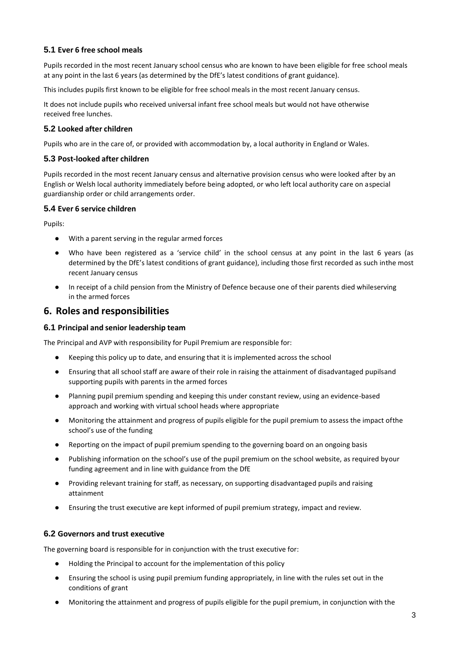#### **5.1 Ever 6 free school meals**

Pupils recorded in the most recent January school census who are known to have been eligible for free school meals at any point in the last 6 years (as determined by the DfE's latest conditions of grant guidance).

This includes pupils first known to be eligible for free school meals in the most recent January census.

It does not include pupils who received universal infant free school meals but would not have otherwise received free lunches.

#### **5.2 Looked after children**

Pupils who are in the care of, or provided with accommodation by, a local authority in England or Wales.

#### **5.3 Post-looked after children**

Pupils recorded in the most recent January census and alternative provision census who were looked after by an English or Welsh local authority immediately before being adopted, or who left local authority care on aspecial guardianship order or child arrangements order.

#### **5.4 Ever 6 service children**

Pupils:

- With a parent serving in the regular armed forces
- Who have been registered as a 'service child' in the school census at any point in the last 6 years (as determined by the DfE's latest conditions of grant guidance), including those first recorded as such inthe most recent January census
- In receipt of a child pension from the Ministry of Defence because one of their parents died whileserving in the armed forces

#### <span id="page-2-0"></span>**6. Roles and responsibilities**

#### **6.1 Principal and senior leadership team**

The Principal and AVP with responsibility for Pupil Premium are responsible for:

- Keeping this policy up to date, and ensuring that it is implemented across the school
- Ensuring that all school staff are aware of their role in raising the attainment of disadvantaged pupilsand supporting pupils with parents in the armed forces
- Planning pupil premium spending and keeping this under constant review, using an evidence-based approach and working with virtual school heads where appropriate
- Monitoring the attainment and progress of pupils eligible for the pupil premium to assess the impact ofthe school's use of the funding
- Reporting on the impact of pupil premium spending to the governing board on an ongoing basis
- Publishing information on the school's use of the pupil premium on the school website, as required byour funding agreement and in line with guidance from the DfE
- Providing relevant training for staff, as necessary, on supporting disadvantaged pupils and raising attainment
- Ensuring the trust executive are kept informed of pupil premium strategy, impact and review.

#### **6.2 Governors and trust executive**

The governing board is responsible for in conjunction with the trust executive for:

- Holding the Principal to account for the implementation of this policy
- Ensuring the school is using pupil premium funding appropriately, in line with the rules set out in the conditions of grant
- Monitoring the attainment and progress of pupils eligible for the pupil premium, in conjunction with the